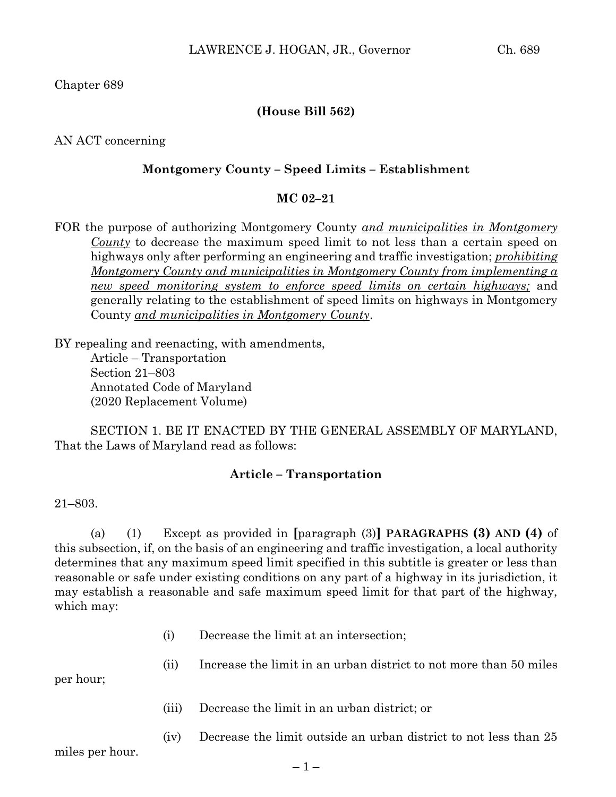Chapter 689

### **(House Bill 562)**

AN ACT concerning

#### **Montgomery County – Speed Limits – Establishment**

#### **MC 02–21**

FOR the purpose of authorizing Montgomery County *and municipalities in Montgomery County* to decrease the maximum speed limit to not less than a certain speed on highways only after performing an engineering and traffic investigation; *prohibiting Montgomery County and municipalities in Montgomery County from implementing a new speed monitoring system to enforce speed limits on certain highways;* and generally relating to the establishment of speed limits on highways in Montgomery County *and municipalities in Montgomery County*.

BY repealing and reenacting, with amendments, Article – Transportation Section 21–803 Annotated Code of Maryland (2020 Replacement Volume)

SECTION 1. BE IT ENACTED BY THE GENERAL ASSEMBLY OF MARYLAND, That the Laws of Maryland read as follows:

### **Article – Transportation**

21–803.

(a) (1) Except as provided in **[**paragraph (3)**] PARAGRAPHS (3) AND (4)** of this subsection, if, on the basis of an engineering and traffic investigation, a local authority determines that any maximum speed limit specified in this subtitle is greater or less than reasonable or safe under existing conditions on any part of a highway in its jurisdiction, it may establish a reasonable and safe maximum speed limit for that part of the highway, which may:

- (i) Decrease the limit at an intersection;
- (ii) Increase the limit in an urban district to not more than 50 miles

per hour;

- (iii) Decrease the limit in an urban district; or
- (iv) Decrease the limit outside an urban district to not less than 25

miles per hour.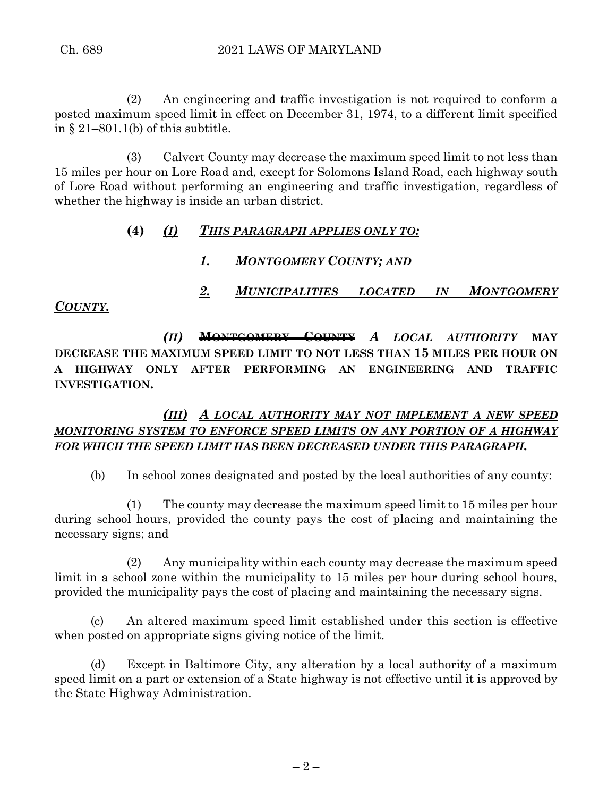(2) An engineering and traffic investigation is not required to conform a posted maximum speed limit in effect on December 31, 1974, to a different limit specified in  $\S 21-801.1(b)$  of this subtitle.

(3) Calvert County may decrease the maximum speed limit to not less than 15 miles per hour on Lore Road and, except for Solomons Island Road, each highway south of Lore Road without performing an engineering and traffic investigation, regardless of whether the highway is inside an urban district.

### **(4)** *(I) THIS PARAGRAPH APPLIES ONLY TO:*

# *1. MONTGOMERY COUNTY; AND*

# *2. MUNICIPALITIES LOCATED IN MONTGOMERY*

### *COUNTY.*

*(II)* **MONTGOMERY COUNTY** *A LOCAL AUTHORITY* **MAY DECREASE THE MAXIMUM SPEED LIMIT TO NOT LESS THAN 15 MILES PER HOUR ON A HIGHWAY ONLY AFTER PERFORMING AN ENGINEERING AND TRAFFIC INVESTIGATION.**

# *(III) A LOCAL AUTHORITY MAY NOT IMPLEMENT A NEW SPEED MONITORING SYSTEM TO ENFORCE SPEED LIMITS ON ANY PORTION OF A HIGHWAY FOR WHICH THE SPEED LIMIT HAS BEEN DECREASED UNDER THIS PARAGRAPH.*

(b) In school zones designated and posted by the local authorities of any county:

(1) The county may decrease the maximum speed limit to 15 miles per hour during school hours, provided the county pays the cost of placing and maintaining the necessary signs; and

(2) Any municipality within each county may decrease the maximum speed limit in a school zone within the municipality to 15 miles per hour during school hours, provided the municipality pays the cost of placing and maintaining the necessary signs.

(c) An altered maximum speed limit established under this section is effective when posted on appropriate signs giving notice of the limit.

(d) Except in Baltimore City, any alteration by a local authority of a maximum speed limit on a part or extension of a State highway is not effective until it is approved by the State Highway Administration.